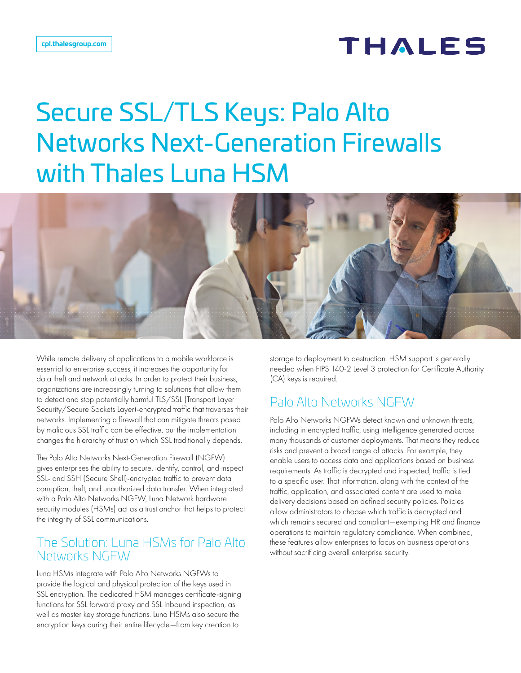# **THALES**

# Secure SSL/TLS Keys: Palo Alto Networks Next-Generation Firewalls with Thales Luna HSM



While remote delivery of applications to a mobile workforce is essential to enterprise success, it increases the opportunity for data theft and network attacks. In order to protect their business, organizations are increasingly turning to solutions that allow them to detect and stop potentially harmful TLS/SSL (Transport Layer Security/Secure Sockets Layer)-encrypted traffic that traverses their networks. Implementing a firewall that can mitigate threats posed by malicious SSL traffic can be effective, but the implementation changes the hierarchy of trust on which SSL traditionally depends.

The Palo Alto Networks Next-Generation Firewall (NGFW) gives enterprises the ability to secure, identify, control, and inspect SSL- and SSH (Secure Shell)-encrypted traffic to prevent data corruption, theft, and unauthorized data transfer. When integrated with a Palo Alto Networks NGFW, Luna Network hardware security modules (HSMs) act as a trust anchor that helps to protect the integrity of SSL communications.

### The Solution: Luna HSMs for Palo Alto Networks NGFW

Luna HSMs integrate with Palo Alto Networks NGFWs to provide the logical and physical protection of the keys used in SSL encryption. The dedicated HSM manages certificate-signing functions for SSL forward proxy and SSL inbound inspection, as well as master key storage functions. Luna HSMs also secure the encryption keys during their entire lifecycle—from key creation to

storage to deployment to destruction. HSM support is generally needed when FIPS 140-2 Level 3 protection for Certificate Authority (CA) keys is required.

## Palo Alto Networks NGFW

Palo Alto Networks NGFWs detect known and unknown threats, including in encrypted traffic, using intelligence generated across many thousands of customer deployments. That means they reduce risks and prevent a broad range of attacks. For example, they enable users to access data and applications based on business requirements. As traffic is decrypted and inspected, traffic is tied to a specific user. That information, along with the context of the traffic, application, and associated content are used to make delivery decisions based on defined security policies. Policies allow administrators to choose which traffic is decrypted and which remains secured and compliant—exempting HR and finance operations to maintain regulatory compliance. When combined, these features allow enterprises to focus on business operations without sacrificing overall enterprise security.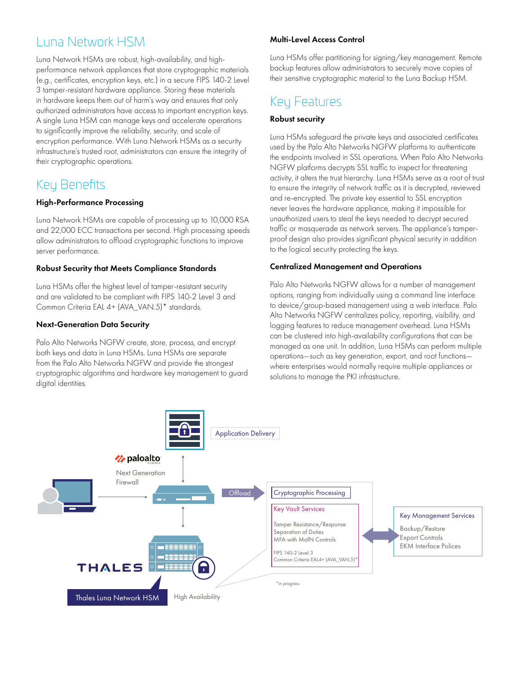# Luna Network HSM

Luna Network HSMs are robust, high-availability, and highperformance network appliances that store cryptographic materials (e.g., certificates, encryption keys, etc.) in a secure FIPS 140-2 Level 3 tamper-resistant hardware appliance. Storing these materials in hardware keeps them out of harm's way and ensures that only authorized administrators have access to important encryption keys. A single Luna HSM can manage keys and accelerate operations to significantly improve the reliability, security, and scale of encryption performance. With Luna Network HSMs as a security infrastructure's trusted root, administrators can ensure the integrity of their cryptographic operations.

# Key Benefits

### High-Performance Processing

Luna Network HSMs are capable of processing up to 10,000 RSA and 22,000 ECC transactions per second. High processing speeds allow administrators to offload cryptographic functions to improve server performance.

### Robust Security that Meets Compliance Standards

Luna HSMs offer the highest level of tamper-resistant security and are validated to be compliant with FIPS 140-2 Level 3 and Common Criteria EAL 4+ (AVA\_VAN.5)\* standards.

### Next-Generation Data Security

Palo Alto Networks NGFW create, store, process, and encrypt both keys and data in Luna HSMs. Luna HSMs are separate from the Palo Alto Networks NGFW and provide the strongest cryptographic algorithms and hardware key management to guard digital identities.

### Multi-Level Access Control

Luna HSMs offer partitioning for signing/key management. Remote backup features allow administrators to securely move copies of their sensitive cryptographic material to the Luna Backup HSM.

# Key Features

### Robust security

Luna HSMs safeguard the private keys and associated certificates used by the Palo Alto Networks NGFW platforms to authenticate the endpoints involved in SSL operations. When Palo Alto Networks NGFW platforms decrypts SSL traffic to inspect for threatening activity, it alters the trust hierarchy. Luna HSMs serve as a root of trust to ensure the integrity of network traffic as it is decrypted, reviewed and re-encrypted. The private key essential to SSL encryption never leaves the hardware appliance, making it impossible for unauthorized users to steal the keys needed to decrypt secured traffic or masquerade as network servers. The appliance's tamperproof design also provides significant physical security in addition to the logical security protecting the keys.

### Centralized Management and Operations

Palo Alto Networks NGFW allows for a number of management options, ranging from individually using a command line interface to device/group-based management using a web interface. Palo Alto Networks NGFW centralizes policy, reporting, visibility, and logging features to reduce management overhead. Luna HSMs can be clustered into high-availability configurations that can be managed as one unit. In addition, Luna HSMs can perform multiple operations—such as key generation, export, and root functions where enterprises would normally require multiple appliances or solutions to manage the PKI infrastructure.